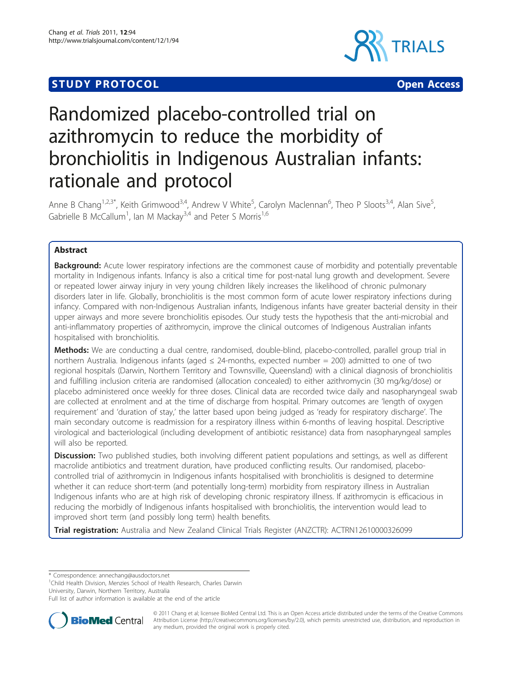## **STUDY PROTOCOL CONSUMING THE CONSUMING OPEN ACCESS**





# Randomized placebo-controlled trial on azithromycin to reduce the morbidity of bronchiolitis in Indigenous Australian infants: rationale and protocol

Anne B Chang<sup>1,2,3\*</sup>, Keith Grimwood<sup>3,4</sup>, Andrew V White<sup>5</sup>, Carolyn Maclennan<sup>6</sup>, Theo P Sloots<sup>3,4</sup>, Alan Sive<sup>5</sup> , Gabrielle B McCallum<sup>1</sup>, Ian M Mackay<sup>3,4</sup> and Peter S Morris<sup>1,6</sup>

## Abstract

**Background:** Acute lower respiratory infections are the commonest cause of morbidity and potentially preventable mortality in Indigenous infants. Infancy is also a critical time for post-natal lung growth and development. Severe or repeated lower airway injury in very young children likely increases the likelihood of chronic pulmonary disorders later in life. Globally, bronchiolitis is the most common form of acute lower respiratory infections during infancy. Compared with non-Indigenous Australian infants, Indigenous infants have greater bacterial density in their upper airways and more severe bronchiolitis episodes. Our study tests the hypothesis that the anti-microbial and anti-inflammatory properties of azithromycin, improve the clinical outcomes of Indigenous Australian infants hospitalised with bronchiolitis.

Methods: We are conducting a dual centre, randomised, double-blind, placebo-controlled, parallel group trial in northern Australia. Indigenous infants (aged ≤ 24-months, expected number = 200) admitted to one of two regional hospitals (Darwin, Northern Territory and Townsville, Queensland) with a clinical diagnosis of bronchiolitis and fulfilling inclusion criteria are randomised (allocation concealed) to either azithromycin (30 mg/kg/dose) or placebo administered once weekly for three doses. Clinical data are recorded twice daily and nasopharyngeal swab are collected at enrolment and at the time of discharge from hospital. Primary outcomes are 'length of oxygen requirement' and 'duration of stay,' the latter based upon being judged as 'ready for respiratory discharge'. The main secondary outcome is readmission for a respiratory illness within 6-months of leaving hospital. Descriptive virological and bacteriological (including development of antibiotic resistance) data from nasopharyngeal samples will also be reported.

**Discussion:** Two published studies, both involving different patient populations and settings, as well as different macrolide antibiotics and treatment duration, have produced conflicting results. Our randomised, placebocontrolled trial of azithromycin in Indigenous infants hospitalised with bronchiolitis is designed to determine whether it can reduce short-term (and potentially long-term) morbidity from respiratory illness in Australian Indigenous infants who are at high risk of developing chronic respiratory illness. If azithromycin is efficacious in reducing the morbidly of Indigenous infants hospitalised with bronchiolitis, the intervention would lead to improved short term (and possibly long term) health benefits.

Trial registration: Australia and New Zealand Clinical Trials Register (ANZCTR): [ACTRN12610000326099](http://www.anzctr.org.au/ACTRN12610000326099.aspx)

\* Correspondence: [annechang@ausdoctors.net](mailto:annechang@ausdoctors.net)

<sup>1</sup>Child Health Division, Menzies School of Health Research, Charles Darwin University, Darwin, Northern Territory, Australia

Full list of author information is available at the end of the article



© 2011 Chang et al; licensee BioMed Central Ltd. This is an Open Access article distributed under the terms of the Creative Commons Attribution License [\(http://creativecommons.org/licenses/by/2.0](http://creativecommons.org/licenses/by/2.0)), which permits unrestricted use, distribution, and reproduction in any medium, provided the original work is properly cited.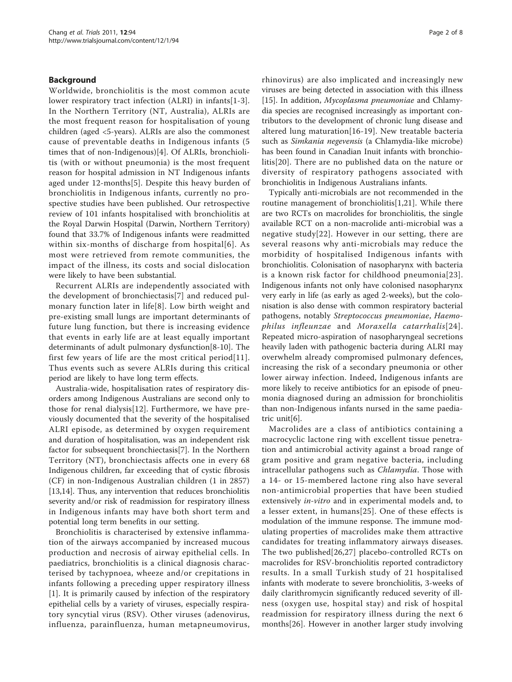#### Background

Worldwide, bronchiolitis is the most common acute lower respiratory tract infection (ALRI) in infants[\[1](#page-6-0)-[3](#page-7-0)]. In the Northern Territory (NT, Australia), ALRIs are the most frequent reason for hospitalisation of young children (aged <5-years). ALRIs are also the commonest cause of preventable deaths in Indigenous infants (5 times that of non-Indigenous)[\[4](#page-7-0)]. Of ALRIs, bronchiolitis (with or without pneumonia) is the most frequent reason for hospital admission in NT Indigenous infants aged under 12-months[\[5](#page-7-0)]. Despite this heavy burden of bronchiolitis in Indigenous infants, currently no prospective studies have been published. Our retrospective review of 101 infants hospitalised with bronchiolitis at the Royal Darwin Hospital (Darwin, Northern Territory) found that 33.7% of Indigenous infants were readmitted within six-months of discharge from hospital[[6\]](#page-7-0). As most were retrieved from remote communities, the impact of the illness, its costs and social dislocation were likely to have been substantial.

Recurrent ALRIs are independently associated with the development of bronchiectasis[[7\]](#page-7-0) and reduced pulmonary function later in life[[8](#page-7-0)]. Low birth weight and pre-existing small lungs are important determinants of future lung function, but there is increasing evidence that events in early life are at least equally important determinants of adult pulmonary dysfunction[\[8](#page-7-0)-[10\]](#page-7-0). The first few years of life are the most critical period[[11\]](#page-7-0). Thus events such as severe ALRIs during this critical period are likely to have long term effects.

Australia-wide, hospitalisation rates of respiratory disorders among Indigenous Australians are second only to those for renal dialysis[[12\]](#page-7-0). Furthermore, we have previously documented that the severity of the hospitalised ALRI episode, as determined by oxygen requirement and duration of hospitalisation, was an independent risk factor for subsequent bronchiectasis[\[7\]](#page-7-0). In the Northern Territory (NT), bronchiectasis affects one in every 68 Indigenous children, far exceeding that of cystic fibrosis (CF) in non-Indigenous Australian children (1 in 2857) [[13,14\]](#page-7-0). Thus, any intervention that reduces bronchiolitis severity and/or risk of readmission for respiratory illness in Indigenous infants may have both short term and potential long term benefits in our setting.

Bronchiolitis is characterised by extensive inflammation of the airways accompanied by increased mucous production and necrosis of airway epithelial cells. In paediatrics, bronchiolitis is a clinical diagnosis characterised by tachypnoea, wheeze and/or crepitations in infants following a preceding upper respiratory illness [[1\]](#page-6-0). It is primarily caused by infection of the respiratory epithelial cells by a variety of viruses, especially respiratory syncytial virus (RSV). Other viruses (adenovirus, influenza, parainfluenza, human metapneumovirus, rhinovirus) are also implicated and increasingly new viruses are being detected in association with this illness [[15\]](#page-7-0). In addition, Mycoplasma pneumoniae and Chlamydia species are recognised increasingly as important contributors to the development of chronic lung disease and altered lung maturation[\[16-19](#page-7-0)]. New treatable bacteria such as Simkania negevensis (a Chlamydia-like microbe) has been found in Canadian Inuit infants with bronchiolitis[\[20\]](#page-7-0). There are no published data on the nature or diversity of respiratory pathogens associated with bronchiolitis in Indigenous Australians infants.

Typically anti-microbials are not recommended in the routine management of bronchiolitis[[1,](#page-6-0)[21\]](#page-7-0). While there are two RCTs on macrolides for bronchiolitis, the single available RCT on a non-macrolide anti-microbial was a negative study[[22\]](#page-7-0). However in our setting, there are several reasons why anti-microbials may reduce the morbidity of hospitalised Indigenous infants with bronchiolitis. Colonisation of nasopharynx with bacteria is a known risk factor for childhood pneumonia[\[23\]](#page-7-0). Indigenous infants not only have colonised nasopharynx very early in life (as early as aged 2-weeks), but the colonisation is also dense with common respiratory bacterial pathogens, notably Streptococcus pneumoniae, Haemophilus infleunzae and Moraxella catarrhalis[[24\]](#page-7-0). Repeated micro-aspiration of nasopharyngeal secretions heavily laden with pathogenic bacteria during ALRI may overwhelm already compromised pulmonary defences, increasing the risk of a secondary pneumonia or other lower airway infection. Indeed, Indigenous infants are more likely to receive antibiotics for an episode of pneumonia diagnosed during an admission for bronchiolitis than non-Indigenous infants nursed in the same paediatric unit[\[6](#page-7-0)].

Macrolides are a class of antibiotics containing a macrocyclic lactone ring with excellent tissue penetration and antimicrobial activity against a broad range of gram positive and gram negative bacteria, including intracellular pathogens such as *Chlamydia*. Those with a 14- or 15-membered lactone ring also have several non-antimicrobial properties that have been studied extensively *in-vitro* and in experimental models and, to a lesser extent, in humans[[25](#page-7-0)]. One of these effects is modulation of the immune response. The immune modulating properties of macrolides make them attractive candidates for treating inflammatory airways diseases. The two published[\[26,27](#page-7-0)] placebo-controlled RCTs on macrolides for RSV-bronchiolitis reported contradictory results. In a small Turkish study of 21 hospitalised infants with moderate to severe bronchiolitis, 3-weeks of daily clarithromycin significantly reduced severity of illness (oxygen use, hospital stay) and risk of hospital readmission for respiratory illness during the next 6 months[[26\]](#page-7-0). However in another larger study involving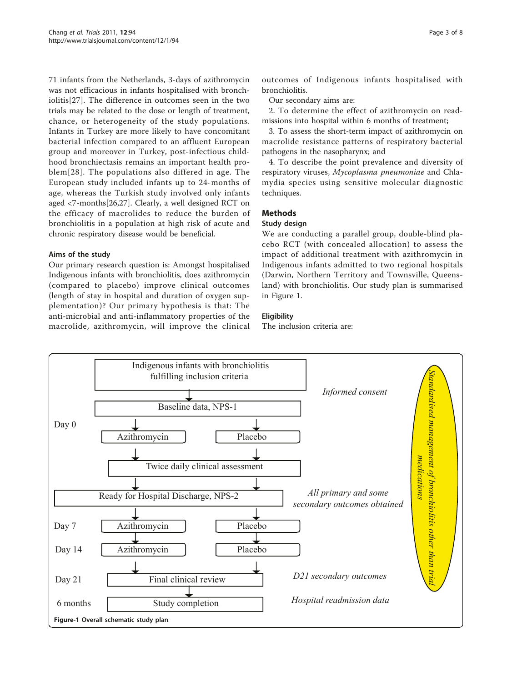71 infants from the Netherlands, 3-days of azithromycin was not efficacious in infants hospitalised with bronchiolitis[[27\]](#page-7-0). The difference in outcomes seen in the two trials may be related to the dose or length of treatment, chance, or heterogeneity of the study populations. Infants in Turkey are more likely to have concomitant bacterial infection compared to an affluent European group and moreover in Turkey, post-infectious childhood bronchiectasis remains an important health problem[[28\]](#page-7-0). The populations also differed in age. The European study included infants up to 24-months of age, whereas the Turkish study involved only infants aged <7-months[[26](#page-7-0),[27](#page-7-0)]. Clearly, a well designed RCT on the efficacy of macrolides to reduce the burden of bronchiolitis in a population at high risk of acute and chronic respiratory disease would be beneficial.

## Aims of the study

Our primary research question is: Amongst hospitalised Indigenous infants with bronchiolitis, does azithromycin (compared to placebo) improve clinical outcomes (length of stay in hospital and duration of oxygen supplementation)? Our primary hypothesis is that: The anti-microbial and anti-inflammatory properties of the macrolide, azithromycin, will improve the clinical

outcomes of Indigenous infants hospitalised with bronchiolitis.

Our secondary aims are:

2. To determine the effect of azithromycin on readmissions into hospital within 6 months of treatment;

3. To assess the short-term impact of azithromycin on macrolide resistance patterns of respiratory bacterial pathogens in the nasopharynx; and

4. To describe the point prevalence and diversity of respiratory viruses, Mycoplasma pneumoniae and Chlamydia species using sensitive molecular diagnostic techniques.

## Methods

#### Study design

We are conducting a parallel group, double-blind placebo RCT (with concealed allocation) to assess the impact of additional treatment with azithromycin in Indigenous infants admitted to two regional hospitals (Darwin, Northern Territory and Townsville, Queensland) with bronchiolitis. Our study plan is summarised in Figure 1.

## **Eligibility**

The inclusion criteria are:

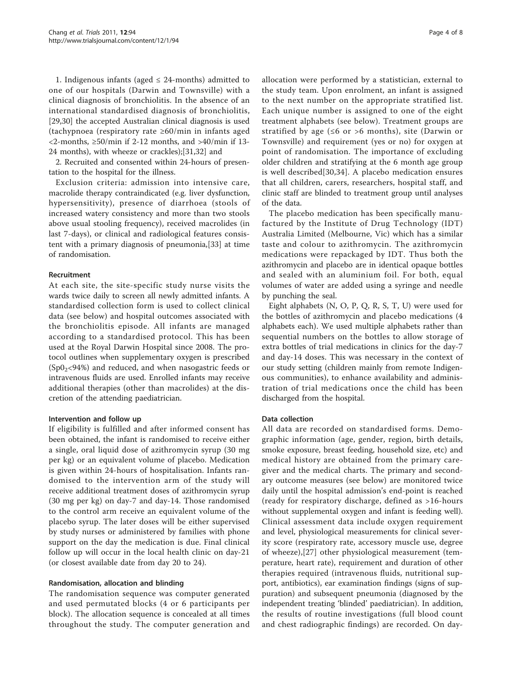1. Indigenous infants (aged  $\leq$  24-months) admitted to one of our hospitals (Darwin and Townsville) with a clinical diagnosis of bronchiolitis. In the absence of an international standardised diagnosis of bronchiolitis, [[29,30\]](#page-7-0) the accepted Australian clinical diagnosis is used (tachypnoea (respiratory rate ≥60/min in infants aged <2-months, ≥50/min if 2-12 months, and >40/min if 13- 24 months), with wheeze or crackles);[[31](#page-7-0),[32](#page-7-0)] and

2. Recruited and consented within 24-hours of presentation to the hospital for the illness.

Exclusion criteria: admission into intensive care, macrolide therapy contraindicated (e.g. liver dysfunction, hypersensitivity), presence of diarrhoea (stools of increased watery consistency and more than two stools above usual stooling frequency), received macrolides (in last 7-days), or clinical and radiological features consistent with a primary diagnosis of pneumonia,[[33\]](#page-7-0) at time of randomisation.

#### Recruitment

At each site, the site-specific study nurse visits the wards twice daily to screen all newly admitted infants. A standardised collection form is used to collect clinical data (see below) and hospital outcomes associated with the bronchiolitis episode. All infants are managed according to a standardised protocol. This has been used at the Royal Darwin Hospital since 2008. The protocol outlines when supplementary oxygen is prescribed  $(Sp0<sub>2</sub>< 94%)$  and reduced, and when nasogastric feeds or intravenous fluids are used. Enrolled infants may receive additional therapies (other than macrolides) at the discretion of the attending paediatrician.

#### Intervention and follow up

If eligibility is fulfilled and after informed consent has been obtained, the infant is randomised to receive either a single, oral liquid dose of azithromycin syrup (30 mg per kg) or an equivalent volume of placebo. Medication is given within 24-hours of hospitalisation. Infants randomised to the intervention arm of the study will receive additional treatment doses of azithromycin syrup (30 mg per kg) on day-7 and day-14. Those randomised to the control arm receive an equivalent volume of the placebo syrup. The later doses will be either supervised by study nurses or administered by families with phone support on the day the medication is due. Final clinical follow up will occur in the local health clinic on day-21 (or closest available date from day 20 to 24).

#### Randomisation, allocation and blinding

The randomisation sequence was computer generated and used permutated blocks (4 or 6 participants per block). The allocation sequence is concealed at all times throughout the study. The computer generation and allocation were performed by a statistician, external to the study team. Upon enrolment, an infant is assigned to the next number on the appropriate stratified list. Each unique number is assigned to one of the eight treatment alphabets (see below). Treatment groups are stratified by age ( $\leq 6$  or >6 months), site (Darwin or Townsville) and requirement (yes or no) for oxygen at point of randomisation. The importance of excluding older children and stratifying at the 6 month age group is well described[[30,34](#page-7-0)]. A placebo medication ensures that all children, carers, researchers, hospital staff, and clinic staff are blinded to treatment group until analyses of the data.

The placebo medication has been specifically manufactured by the Institute of Drug Technology (IDT) Australia Limited (Melbourne, Vic) which has a similar taste and colour to azithromycin. The azithromycin medications were repackaged by IDT. Thus both the azithromycin and placebo are in identical opaque bottles and sealed with an aluminium foil. For both, equal volumes of water are added using a syringe and needle by punching the seal.

Eight alphabets (N, O, P, Q, R, S, T, U) were used for the bottles of azithromycin and placebo medications (4 alphabets each). We used multiple alphabets rather than sequential numbers on the bottles to allow storage of extra bottles of trial medications in clinics for the day-7 and day-14 doses. This was necessary in the context of our study setting (children mainly from remote Indigenous communities), to enhance availability and administration of trial medications once the child has been discharged from the hospital.

#### Data collection

All data are recorded on standardised forms. Demographic information (age, gender, region, birth details, smoke exposure, breast feeding, household size, etc) and medical history are obtained from the primary caregiver and the medical charts. The primary and secondary outcome measures (see below) are monitored twice daily until the hospital admission's end-point is reached (ready for respiratory discharge, defined as >16-hours without supplemental oxygen and infant is feeding well). Clinical assessment data include oxygen requirement and level, physiological measurements for clinical severity score (respiratory rate, accessory muscle use, degree of wheeze),[[27\]](#page-7-0) other physiological measurement (temperature, heart rate), requirement and duration of other therapies required (intravenous fluids, nutritional support, antibiotics), ear examination findings (signs of suppuration) and subsequent pneumonia (diagnosed by the independent treating 'blinded' paediatrician). In addition, the results of routine investigations (full blood count and chest radiographic findings) are recorded. On day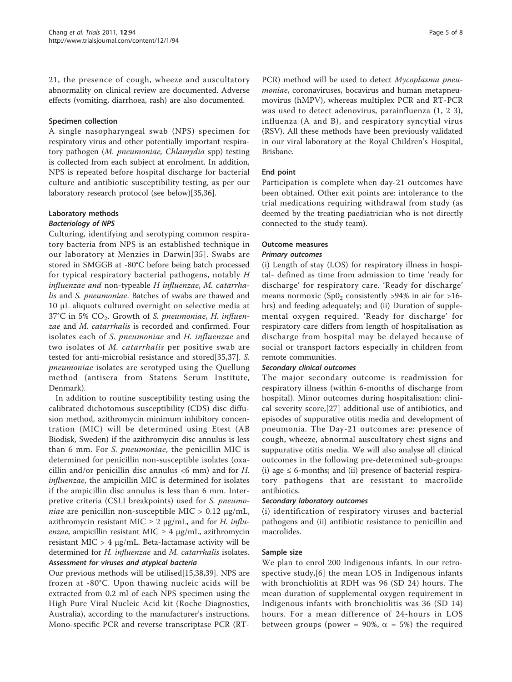21, the presence of cough, wheeze and auscultatory abnormality on clinical review are documented. Adverse effects (vomiting, diarrhoea, rash) are also documented.

#### Specimen collection

A single nasopharyngeal swab (NPS) specimen for respiratory virus and other potentially important respiratory pathogen (M. pneumoniae, Chlamydia spp) testing is collected from each subject at enrolment. In addition, NPS is repeated before hospital discharge for bacterial culture and antibiotic susceptibility testing, as per our laboratory research protocol (see below)[[35,36\]](#page-7-0).

## Laboratory methods

## Bacteriology of NPS

Culturing, identifying and serotyping common respiratory bacteria from NPS is an established technique in our laboratory at Menzies in Darwin[[35\]](#page-7-0). Swabs are stored in SMGGB at -80°C before being batch processed for typical respiratory bacterial pathogens, notably H influenzae and non-typeable H influenzae, M. catarrhalis and S. pneumoniae. Batches of swabs are thawed and 10 μL aliquots cultured overnight on selective media at  $37^{\circ}$ C in 5% CO<sub>2</sub>. Growth of S. pneumoniae, H. influenzae and M. catarrhalis is recorded and confirmed. Four isolates each of S. pneumoniae and H. influenzae and two isolates of M. catarrhalis per positive swab are tested for anti-microbial resistance and stored[[35,37\]](#page-7-0). S. pneumoniae isolates are serotyped using the Quellung method (antisera from Statens Serum Institute, Denmark).

In addition to routine susceptibility testing using the calibrated dichotomous susceptibility (CDS) disc diffusion method, azithromycin minimum inhibitory concentration (MIC) will be determined using Etest (AB Biodisk, Sweden) if the azithromycin disc annulus is less than 6 mm. For S. pneumoniae, the penicillin MIC is determined for penicillin non-susceptible isolates (oxacillin and/or penicillin disc annulus  $\lt 6$  mm) and for H. influenzae, the ampicillin MIC is determined for isolates if the ampicillin disc annulus is less than 6 mm. Interpretive criteria (CSLI breakpoints) used for S. pneumoniae are penicillin non-susceptible MIC >  $0.12 \mu g/mL$ , azithromycin resistant MIC  $\geq$  2 µg/mL, and for *H. influ*enzae, ampicillin resistant MIC  $\geq$  4  $\mu$ g/mL, azithromycin resistant MIC > 4 μg/mL. Beta-lactamase activity will be determined for H. influenzae and M. catarrhalis isolates. Assessment for viruses and atypical bacteria

Our previous methods will be utilised[[15,38,39\]](#page-7-0). NPS are frozen at -80°C. Upon thawing nucleic acids will be extracted from 0.2 ml of each NPS specimen using the High Pure Viral Nucleic Acid kit (Roche Diagnostics, Australia), according to the manufacturer's instructions. Mono-specific PCR and reverse transcriptase PCR (RT- PCR) method will be used to detect Mycoplasma pneumoniae, coronaviruses, bocavirus and human metapneumovirus (hMPV), whereas multiplex PCR and RT-PCR was used to detect adenovirus, parainfluenza (1, 2 3), influenza (A and B), and respiratory syncytial virus (RSV). All these methods have been previously validated in our viral laboratory at the Royal Children's Hospital, Brisbane.

## End point

Participation is complete when day-21 outcomes have been obtained. Other exit points are: intolerance to the trial medications requiring withdrawal from study (as deemed by the treating paediatrician who is not directly connected to the study team).

## Outcome measures

#### Primary outcomes

(i) Length of stay (LOS) for respiratory illness in hospital- defined as time from admission to time 'ready for discharge' for respiratory care. 'Ready for discharge' means normoxic (Sp0<sub>2</sub> consistently >94% in air for >16hrs) and feeding adequately; and (ii) Duration of supplemental oxygen required. 'Ready for discharge' for respiratory care differs from length of hospitalisation as discharge from hospital may be delayed because of social or transport factors especially in children from remote communities.

#### Secondary clinical outcomes

The major secondary outcome is readmission for respiratory illness (within 6-months of discharge from hospital). Minor outcomes during hospitalisation: clinical severity score,[[27\]](#page-7-0) additional use of antibiotics, and episodes of suppurative otitis media and development of pneumonia. The Day-21 outcomes are: presence of cough, wheeze, abnormal auscultatory chest signs and suppurative otitis media. We will also analyse all clinical outcomes in the following pre-determined sub-groups: (i) age  $\leq$  6-months; and (ii) presence of bacterial respiratory pathogens that are resistant to macrolide antibiotics.

#### Secondary laboratory outcomes

(i) identification of respiratory viruses and bacterial pathogens and (ii) antibiotic resistance to penicillin and macrolides.

#### Sample size

We plan to enrol 200 Indigenous infants. In our retrospective study,[\[6](#page-7-0)] the mean LOS in Indigenous infants with bronchiolitis at RDH was 96 (SD 24) hours. The mean duration of supplemental oxygen requirement in Indigenous infants with bronchiolitis was 36 (SD 14) hours. For a mean difference of 24-hours in LOS between groups (power = 90%,  $\alpha$  = 5%) the required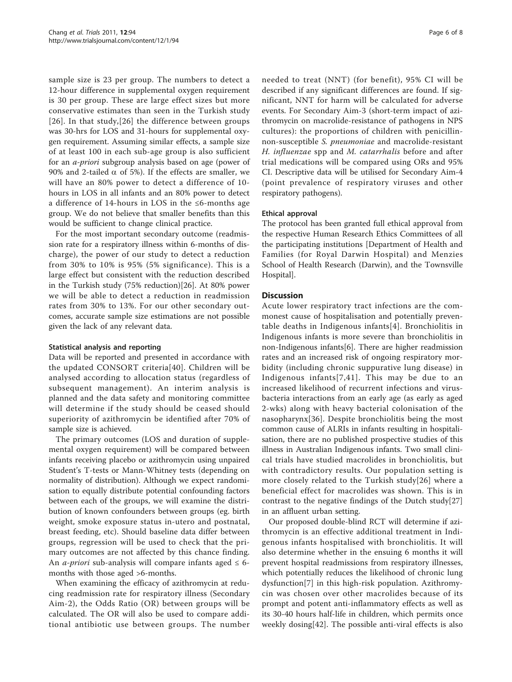sample size is 23 per group. The numbers to detect a 12-hour difference in supplemental oxygen requirement is 30 per group. These are large effect sizes but more conservative estimates than seen in the Turkish study [[26](#page-7-0)]. In that study,[[26](#page-7-0)] the difference between groups was 30-hrs for LOS and 31-hours for supplemental oxygen requirement. Assuming similar effects, a sample size of at least 100 in each sub-age group is also sufficient for an a-priori subgroup analysis based on age (power of 90% and 2-tailed  $\alpha$  of 5%). If the effects are smaller, we will have an 80% power to detect a difference of 10 hours in LOS in all infants and an 80% power to detect a difference of 14-hours in LOS in the ≤6-months age group. We do not believe that smaller benefits than this would be sufficient to change clinical practice.

For the most important secondary outcome (readmission rate for a respiratory illness within 6-months of discharge), the power of our study to detect a reduction from 30% to 10% is 95% (5% significance). This is a large effect but consistent with the reduction described in the Turkish study (75% reduction)[[26](#page-7-0)]. At 80% power we will be able to detect a reduction in readmission rates from 30% to 13%. For our other secondary outcomes, accurate sample size estimations are not possible given the lack of any relevant data.

#### Statistical analysis and reporting

Data will be reported and presented in accordance with the updated CONSORT criteria[[40](#page-7-0)]. Children will be analysed according to allocation status (regardless of subsequent management). An interim analysis is planned and the data safety and monitoring committee will determine if the study should be ceased should superiority of azithromycin be identified after 70% of sample size is achieved.

The primary outcomes (LOS and duration of supplemental oxygen requirement) will be compared between infants receiving placebo or azithromycin using unpaired Student's T-tests or Mann-Whitney tests (depending on normality of distribution). Although we expect randomisation to equally distribute potential confounding factors between each of the groups, we will examine the distribution of known confounders between groups (eg. birth weight, smoke exposure status in-utero and postnatal, breast feeding, etc). Should baseline data differ between groups, regression will be used to check that the primary outcomes are not affected by this chance finding. An *a-priori* sub-analysis will compare infants aged  $\leq 6$ months with those aged >6-months.

When examining the efficacy of azithromycin at reducing readmission rate for respiratory illness (Secondary Aim-2), the Odds Ratio (OR) between groups will be calculated. The OR will also be used to compare additional antibiotic use between groups. The number needed to treat (NNT) (for benefit), 95% CI will be described if any significant differences are found. If significant, NNT for harm will be calculated for adverse events. For Secondary Aim-3 (short-term impact of azithromycin on macrolide-resistance of pathogens in NPS cultures): the proportions of children with penicillinnon-susceptible S. pneumoniae and macrolide-resistant H. influenzae spp and M. catarrhalis before and after trial medications will be compared using ORs and 95% CI. Descriptive data will be utilised for Secondary Aim-4 (point prevalence of respiratory viruses and other respiratory pathogens).

#### Ethical approval

The protocol has been granted full ethical approval from the respective Human Research Ethics Committees of all the participating institutions [Department of Health and Families (for Royal Darwin Hospital) and Menzies School of Health Research (Darwin), and the Townsville Hospital].

#### **Discussion**

Acute lower respiratory tract infections are the commonest cause of hospitalisation and potentially preventable deaths in Indigenous infants[[4\]](#page-7-0). Bronchiolitis in Indigenous infants is more severe than bronchiolitis in non-Indigenous infants[\[6](#page-7-0)]. There are higher readmission rates and an increased risk of ongoing respiratory morbidity (including chronic suppurative lung disease) in Indigenous infants[[7](#page-7-0),[41\]](#page-7-0). This may be due to an increased likelihood of recurrent infections and virusbacteria interactions from an early age (as early as aged 2-wks) along with heavy bacterial colonisation of the nasopharynx[[36](#page-7-0)]. Despite bronchiolitis being the most common cause of ALRIs in infants resulting in hospitalisation, there are no published prospective studies of this illness in Australian Indigenous infants. Two small clinical trials have studied macrolides in bronchiolitis, but with contradictory results. Our population setting is more closely related to the Turkish study[[26](#page-7-0)] where a beneficial effect for macrolides was shown. This is in contrast to the negative findings of the Dutch study[[27](#page-7-0)] in an affluent urban setting.

Our proposed double-blind RCT will determine if azithromycin is an effective additional treatment in Indigenous infants hospitalised with bronchiolitis. It will also determine whether in the ensuing 6 months it will prevent hospital readmissions from respiratory illnesses, which potentially reduces the likelihood of chronic lung dysfunction[[7\]](#page-7-0) in this high-risk population. Azithromycin was chosen over other macrolides because of its prompt and potent anti-inflammatory effects as well as its 30-40 hours half-life in children, which permits once weekly dosing[[42\]](#page-7-0). The possible anti-viral effects is also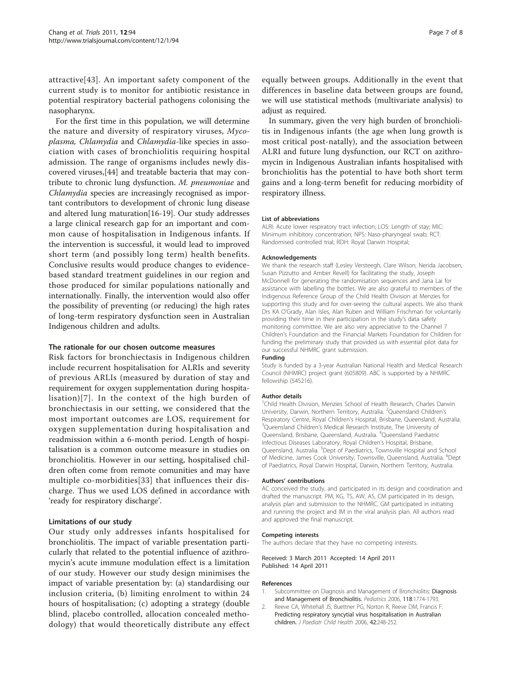<span id="page-6-0"></span>attractive[[43](#page-7-0)]. An important safety component of the current study is to monitor for antibiotic resistance in potential respiratory bacterial pathogens colonising the nasopharynx.

For the first time in this population, we will determine the nature and diversity of respiratory viruses, Mycoplasma, Chlamydia and Chlamydia-like species in association with cases of bronchiolitis requiring hospital admission. The range of organisms includes newly discovered viruses,[[44](#page-7-0)] and treatable bacteria that may contribute to chronic lung dysfunction. M. pneumoniae and Chlamydia species are increasingly recognised as important contributors to development of chronic lung disease and altered lung maturation[\[16](#page-7-0)-[19\]](#page-7-0). Our study addresses a large clinical research gap for an important and common cause of hospitalisation in Indigenous infants. If the intervention is successful, it would lead to improved short term (and possibly long term) health benefits. Conclusive results would produce changes to evidencebased standard treatment guidelines in our region and those produced for similar populations nationally and internationally. Finally, the intervention would also offer the possibility of preventing (or reducing) the high rates of long-term respiratory dysfunction seen in Australian Indigenous children and adults.

#### The rationale for our chosen outcome measures

Risk factors for bronchiectasis in Indigenous children include recurrent hospitalisation for ALRIs and severity of previous ARLIs (measured by duration of stay and requirement for oxygen supplementation during hospitalisation)[[7\]](#page-7-0). In the context of the high burden of bronchiectasis in our setting, we considered that the most important outcomes are LOS, requirement for oxygen supplementation during hospitalisation and readmission within a 6-month period. Length of hospitalisation is a common outcome measure in studies on bronchiolitis. However in our setting, hospitalised children often come from remote comunities and may have multiple co-morbidities[[33](#page-7-0)] that influences their discharge. Thus we used LOS defined in accordance with 'ready for respiratory discharge'.

#### Limitations of our study

Our study only addresses infants hospitalised for bronchiolitis. The impact of variable presentation particularly that related to the potential influence of azithromycin's acute immune modulation effect is a limitation of our study. However our study design minimises the impact of variable presentation by: (a) standardising our inclusion criteria, (b) limiting enrolment to within 24 hours of hospitalisation; (c) adopting a strategy (double blind, placebo controlled, allocation concealed methodology) that would theoretically distribute any effect

equally between groups. Additionally in the event that differences in baseline data between groups are found, we will use statistical methods (multivariate analysis) to adjust as required.

In summary, given the very high burden of bronchiolitis in Indigenous infants (the age when lung growth is most critical post-natally), and the association between ALRI and future lung dysfunction, our RCT on azithromycin in Indigenous Australian infants hospitalised with bronchiolitis has the potential to have both short term gains and a long-term benefit for reducing morbidity of respiratory illness.

#### List of abbreviations

ALRI: Acute lower respiratory tract infection; LOS: Length of stay; MIC: Minimum inhibitory concentration; NPS: Naso-pharyngeal swab; RCT: Randomised controlled trial; RDH: Royal Darwin Hospital;

#### Acknowledgements

We thank the research staff (Lesley Versteegh, Clare Wilson, Nerida Jacobsen, Susan Pizzutto and Amber Revell) for facilitating the study, Joseph McDonnell for generating the randomisation sequences and Jana Lai for assistance with labelling the bottles. We are also grateful to members of the Indigenous Reference Group of the Child Health Division at Menzies for supporting this study and for over-seeing the cultural aspects. We also thank Drs KA O'Grady, Alan Isles, Alan Ruben and William Frischman for voluntarily providing their time in their participation in the study's data safety monitoring committee. We are also very appreciative to the Channel 7 Children's Foundation and the Financial Markets Foundation for Children for funding the preliminary study that provided us with essential pilot data for our successful NHMRC grant submission.

#### Funding

Study is funded by a 3-year Australian National Health and Medical Research Council (NHMRC) project grant (605809). ABC is supported by a NHMRC fellowship (545216).

#### Author details

<sup>1</sup> Child Health Division, Menzies School of Health Research, Charles Darwin University, Darwin, Northern Territory, Australia. <sup>2</sup>Queensland Children's Respiratory Centre, Royal Children's Hospital, Brisbane, Queensland, Australia. <sup>3</sup>Queensland Children's Medical Research Institute, The University of Queensland, Brisbane, Queensland, Australia. <sup>4</sup> Queensland Paediatric Infectious Diseases Laboratory, Royal Children's Hospital, Brisbane, Queensland, Australia. <sup>5</sup>Dept of Paediatrics, Townsville Hospital and School of Medicine, James Cook University, Townsville, Queensland, Australia. <sup>6</sup>Dept of Paediatrics, Royal Darwin Hospital, Darwin, Northern Territory, Australia.

#### Authors' contributions

AC conceived the study, and participated in its design and coordination and drafted the manuscript. PM, KG, TS, AW, AS, CM participated in its design, analysis plan and submission to the NHMRC. GM participated in initiating and running the project and IM in the viral analysis plan. All authors read and approved the final manuscript.

#### Competing interests

The authors declare that they have no competing interests.

Received: 3 March 2011 Accepted: 14 April 2011 Published: 14 April 2011

#### References

- 1. Subcommittee on [Diagnosis](http://www.ncbi.nlm.nih.gov/pubmed/17015575?dopt=Abstract) and Management of Bronchiolitis: Diagnosis [and Management of Bronchiolitis.](http://www.ncbi.nlm.nih.gov/pubmed/17015575?dopt=Abstract) Pediatrics 2006, 118:1774-1793.
- 2. Reeve CA, Whitehall JS, Buettner PG, Norton R, Reeve DM, Francis F: [Predicting respiratory syncytial virus hospitalisation in Australian](http://www.ncbi.nlm.nih.gov/pubmed/16712553?dopt=Abstract) [children.](http://www.ncbi.nlm.nih.gov/pubmed/16712553?dopt=Abstract) J Paediatr Child Health 2006, 42:248-252.